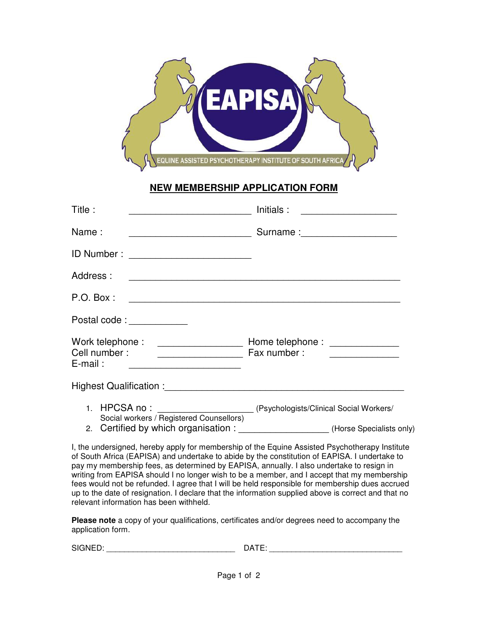

## **NEW MEMBERSHIP APPLICATION FORM**

| Title:                    |                                                                                                                              | Initials : | <u> 1989 - Andrea Station Barbara (</u> |
|---------------------------|------------------------------------------------------------------------------------------------------------------------------|------------|-----------------------------------------|
| Name:                     |                                                                                                                              |            |                                         |
|                           | ID Number : _______________________________                                                                                  |            |                                         |
| Address:                  |                                                                                                                              |            |                                         |
| P.O. Box:                 |                                                                                                                              |            |                                         |
| Postal code: ____________ |                                                                                                                              |            |                                         |
| $E$ -mail:                |                                                                                                                              |            |                                         |
|                           |                                                                                                                              |            |                                         |
|                           | 1. HPCSA no: ___________________________(Psychologists/Clinical Social Workers/                                              |            |                                         |
|                           | Social workers / Registered Counsellors)<br>2. Certified by which organisation : ___________________(Horse Specialists only) |            |                                         |
|                           | I, the undersigned, hereby apply for membership of the Equine Assisted Psychotherapy Institute                               |            |                                         |

of South Africa (EAPISA) and undertake to abide by the constitution of EAPISA. I undertake to pay my membership fees, as determined by EAPISA, annually. I also undertake to resign in writing from EAPISA should I no longer wish to be a member, and I accept that my membership fees would not be refunded. I agree that I will be held responsible for membership dues accrued up to the date of resignation. I declare that the information supplied above is correct and that no relevant information has been withheld.

**Please note** a copy of your qualifications, certificates and/or degrees need to accompany the application form.

| CIONIED<br>חותר<br>SIGNED: | ,,,, |
|----------------------------|------|
|                            |      |